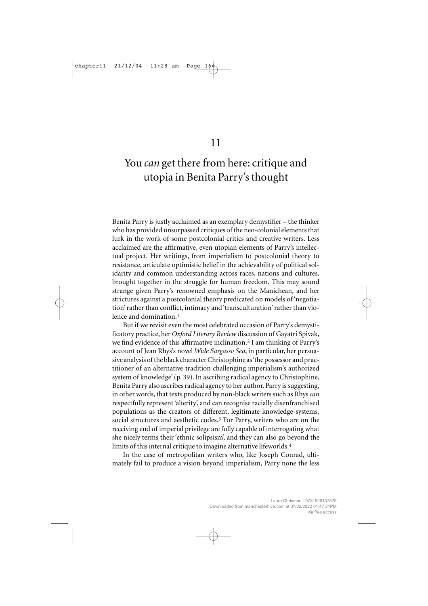## You *can* get there from here: critique and utopia in Benita Parry's thought

Benita Parry is justly acclaimed as an exemplary demystifier – the thinker who has provided unsurpassed critiques of the neo-colonial elements that lurk in the work of some postcolonial critics and creative writers. Less acclaimed are the affirmative, even utopian elements of Parry's intellectual project. Her writings, from imperialism to postcolonial theory to resistance, articulate optimistic belief in the achievability of political solidarity and common understanding across races, nations and cultures, brought together in the struggle for human freedom. This may sound strange given Parry's renowned emphasis on the Manichean, and her strictures against a postcolonial theory predicated on models of 'negotiation' rather than conflict, intimacy and 'transculturation' rather than violence and domination.1

But if we revisit even the most celebrated occasion of Parry's demystificatory practice, her *Oxford Literary Review* discussion of Gayatri Spivak, we find evidence of this affirmative inclination.2 I am thinking of Parry's account of Jean Rhys's novel *Wide Sargasso Sea*, in particular, her persuasive analysis of the black character Christophine as 'the possessor and practitioner of an alternative tradition challenging imperialism's authorized system of knowledge' (p. 39). In ascribing radical agency to Christophine, Benita Parry also ascribes radical agency to her author. Parry is suggesting, in other words, that texts produced by non-black writers such as Rhys *can* respectfully represent 'alterity', and can recognise racially disenfranchised populations as the creators of different, legitimate knowledge-systems, social structures and aesthetic codes.3 For Parry, writers who are on the receiving end of imperial privilege are fully capable of interrogating what she nicely terms their 'ethnic solipsism', and they can also go beyond the limits of this internal critique to imagine alternative lifeworlds.4

In the case of metropolitan writers who, like Joseph Conrad, ultimately fail to produce a vision beyond imperialism, Parry none the less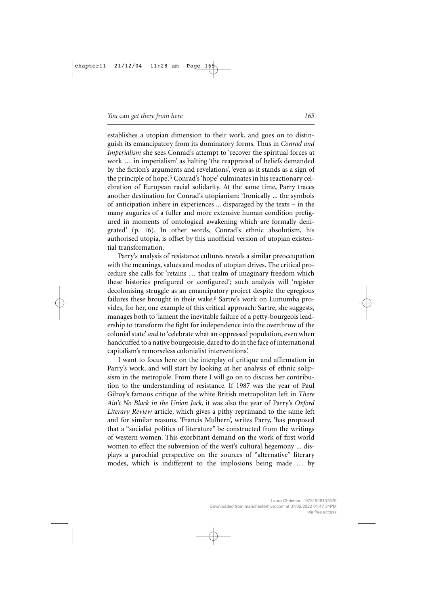establishes a utopian dimension to their work, and goes on to distinguish its emancipatory from its dominatory forms. Thus in *Conrad and Imperialism* she sees Conrad's attempt to 'recover the spiritual forces at work … in imperialism' as halting 'the reappraisal of beliefs demanded by the fiction's arguments and revelations', 'even as it stands as a sign of the principle of hope'.<sup>5</sup> Conrad's 'hope' culminates in his reactionary celebration of European racial solidarity. At the same time, Parry traces another destination for Conrad's utopianism: 'Ironically ... the symbols of anticipation inhere in experiences ... disparaged by the texts – in the many auguries of a fuller and more extensive human condition prefigured in moments of ontological awakening which are formally denigrated' (p. 16). In other words, Conrad's ethnic absolutism, his authorised utopia, is offset by this unofficial version of utopian existential transformation.

Parry's analysis of resistance cultures reveals a similar preoccupation with the meanings, values and modes of utopian drives. The critical procedure she calls for 'retains … that realm of imaginary freedom which these histories prefigured or configured'; such analysis will 'register decolonising struggle as an emancipatory project despite the egregious failures these brought in their wake.6 Sartre's work on Lumumba provides, for her, one example of this critical approach: Sartre, she suggests, manages both to 'lament the inevitable failure of a petty-bourgeois leadership to transform the fight for independence into the overthrow of the colonial state' *and* to 'celebrate what an oppressed population, even when handcuffed to a native bourgeoisie, dared to do in the face of international capitalism's remorseless colonialist interventions'.

I want to focus here on the interplay of critique and affirmation in Parry's work, and will start by looking at her analysis of ethnic solipsism in the metropole. From there I will go on to discuss her contribution to the understanding of resistance. If 1987 was the year of Paul Gilroy's famous critique of the white British metropolitan left in *There Ain't No Black in the Union Jack*, it was also the year of Parry's *Oxford Literary Review* article, which gives a pithy reprimand to the same left and for similar reasons. 'Francis Mulhern', writes Parry, 'has proposed that a "socialist politics of literature" be constructed from the writings of western women. This exorbitant demand on the work of first world women to effect the subversion of the west's cultural hegemony ... displays a parochial perspective on the sources of "alternative" literary modes, which is indifferent to the implosions being made … by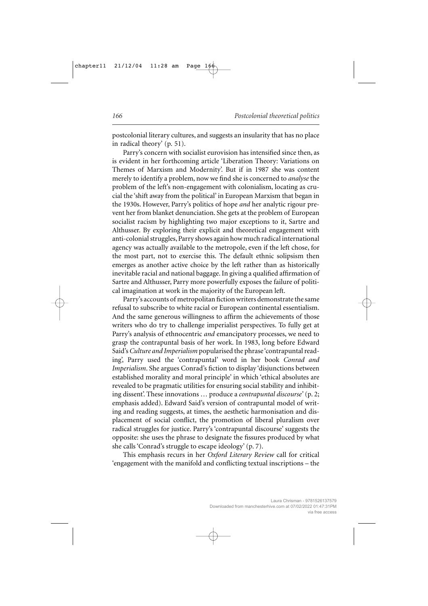postcolonial literary cultures, and suggests an insularity that has no place in radical theory' (p. 51).

Parry's concern with socialist eurovision has intensified since then, as is evident in her forthcoming article 'Liberation Theory: Variations on Themes of Marxism and Modernity'. But if in 1987 she was content merely to identify a problem, now we find she is concerned to *analyse* the problem of the left's non-engagement with colonialism, locating as crucial the 'shift away from the political' in European Marxism that began in the 1930s. However, Parry's politics of hope *and* her analytic rigour prevent her from blanket denunciation. She gets at the problem of European socialist racism by highlighting two major exceptions to it, Sartre and Althusser. By exploring their explicit and theoretical engagement with anti-colonial struggles, Parry shows again how much radical international agency was actually available to the metropole, even if the left chose, for the most part, not to exercise this. The default ethnic solipsism then emerges as another active choice by the left rather than as historically inevitable racial and national baggage. In giving a qualified affirmation of Sartre and Althusser, Parry more powerfully exposes the failure of political imagination at work in the majority of the European left.

Parry's accounts of metropolitan fiction writers demonstrate the same refusal to subscribe to white racial or European continental essentialism. And the same generous willingness to affirm the achievements of those writers who do try to challenge imperialist perspectives. To fully get at Parry's analysis of ethnocentric *and* emancipatory processes, we need to grasp the contrapuntal basis of her work. In 1983, long before Edward Said's *Culture and Imperialism* popularised the phrase 'contrapuntal reading', Parry used the 'contrapuntal' word in her book *Conrad and Imperialism*. She argues Conrad's fiction to display 'disjunctions between established morality and moral principle' in which 'ethical absolutes are revealed to be pragmatic utilities for ensuring social stability and inhibiting dissent'. These innovations … produce a *contrapuntal discourse'* (p. 2; emphasis added). Edward Said's version of contrapuntal model of writing and reading suggests, at times, the aesthetic harmonisation and displacement of social conflict, the promotion of liberal pluralism over radical struggles for justice. Parry's 'contrapuntal discourse' suggests the opposite: she uses the phrase to designate the fissures produced by what she calls 'Conrad's struggle to escape ideology' (p. 7).

This emphasis recurs in her *Oxford Literary Review* call for critical 'engagement with the manifold and conflicting textual inscriptions – the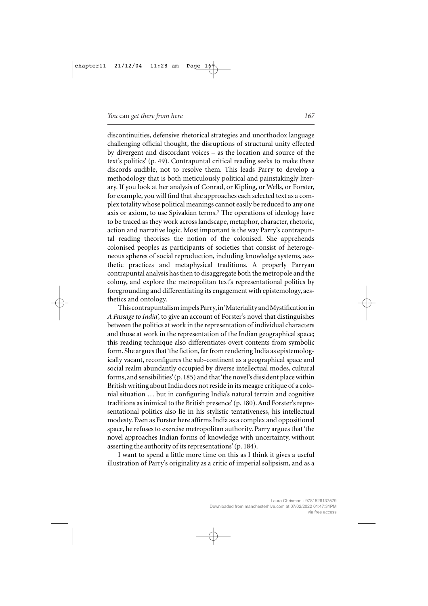discontinuities, defensive rhetorical strategies and unorthodox language challenging official thought, the disruptions of structural unity effected by divergent and discordant voices – as the location and source of the text's politics' (p. 49). Contrapuntal critical reading seeks to make these discords audible, not to resolve them. This leads Parry to develop a methodology that is both meticulously political and painstakingly literary. If you look at her analysis of Conrad, or Kipling, or Wells, or Forster, for example, you will find that she approaches each selected text as a complex totality whose political meanings cannot easily be reduced to any one axis or axiom, to use Spivakian terms.7 The operations of ideology have to be traced as they work across landscape, metaphor, character, rhetoric, action and narrative logic. Most important is the way Parry's contrapuntal reading theorises the notion of the colonised. She apprehends colonised peoples as participants of societies that consist of heterogeneous spheres of social reproduction, including knowledge systems, aesthetic practices and metaphysical traditions. A properly Parryan contrapuntal analysis has then to disaggregate both the metropole and the colony, and explore the metropolitan text's representational politics by foregrounding and differentiating its engagement with epistemology, aesthetics and ontology.

This contrapuntalism impels Parry,in 'Materiality and Mystification in *A Passage to India*', to give an account of Forster's novel that distinguishes between the politics at work in the representation of individual characters and those at work in the representation of the Indian geographical space; this reading technique also differentiates overt contents from symbolic form. She argues that 'the fiction, far from rendering India as epistemologically vacant, reconfigures the sub-continent as a geographical space and social realm abundantly occupied by diverse intellectual modes, cultural forms, and sensibilities'(p. 185) and that 'the novel's dissident place within British writing about India does not reside in its meagre critique of a colonial situation … but in configuring India's natural terrain and cognitive traditions as inimical to the British presence' (p. 180). And Forster's representational politics also lie in his stylistic tentativeness, his intellectual modesty. Even as Forster here affirms India as a complex and oppositional space, he refuses to exercise metropolitan authority. Parry argues that 'the novel approaches Indian forms of knowledge with uncertainty, without asserting the authority of its representations' (p. 184).

I want to spend a little more time on this as I think it gives a useful illustration of Parry's originality as a critic of imperial solipsism, and as a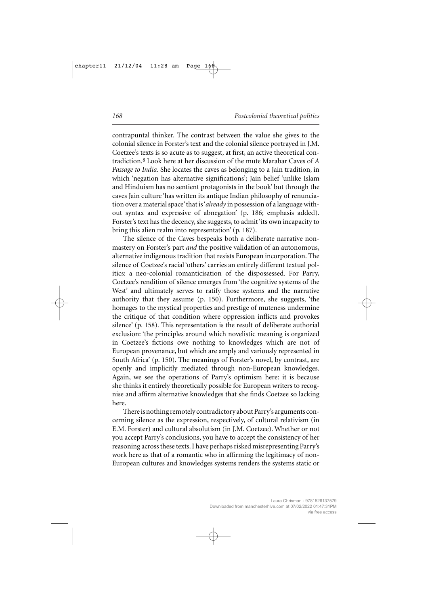contrapuntal thinker. The contrast between the value she gives to the colonial silence in Forster's text and the colonial silence portrayed in J.M. Coetzee's texts is so acute as to suggest, at first, an active theoretical contradiction.8 Look here at her discussion of the mute Marabar Caves of *A Passage to India*. She locates the caves as belonging to a Jain tradition, in which 'negation has alternative significations'; Jain belief 'unlike Islam and Hinduism has no sentient protagonists in the book' but through the caves Jain culture 'has written its antique Indian philosophy of renunciation over a material space' that is '*already* in possession of a language without syntax and expressive of abnegation' (p. 186; emphasis added). Forster's text has the decency, she suggests, to admit 'its own incapacity to bring this alien realm into representation' (p. 187).

The silence of the Caves bespeaks both a deliberate narrative nonmastery on Forster's part *and* the positive validation of an autonomous, alternative indigenous tradition that resists European incorporation. The silence of Coetzee's racial 'others' carries an entirely different textual politics: a neo-colonial romanticisation of the dispossessed. For Parry, Coetzee's rendition of silence emerges from 'the cognitive systems of the West' and ultimately serves to ratify those systems and the narrative authority that they assume (p. 150). Furthermore, she suggests, 'the homages to the mystical properties and prestige of muteness undermine the critique of that condition where oppression inflicts and provokes silence' (p. 158). This representation is the result of deliberate authorial exclusion: 'the principles around which novelistic meaning is organized in Coetzee's fictions owe nothing to knowledges which are not of European provenance, but which are amply and variously represented in South Africa' (p. 150). The meanings of Forster's novel, by contrast, are openly and implicitly mediated through non-European knowledges. Again, we see the operations of Parry's optimism here: it is because she thinks it entirely theoretically possible for European writers to recognise and affirm alternative knowledges that she finds Coetzee so lacking here.

There is nothing remotely contradictory about Parry's arguments concerning silence as the expression, respectively, of cultural relativism (in E.M. Forster) and cultural absolutism (in J.M. Coetzee). Whether or not you accept Parry's conclusions, you have to accept the consistency of her reasoning across these texts. I have perhaps risked misrepresenting Parry's work here as that of a romantic who in affirming the legitimacy of non-European cultures and knowledges systems renders the systems static or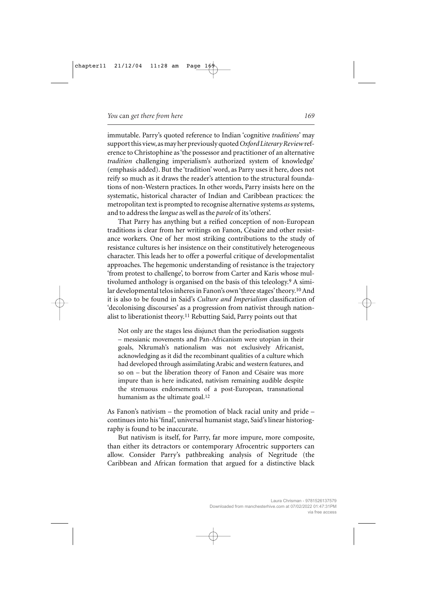immutable. Parry's quoted reference to Indian 'cognitive *traditions*' may support this view,as may her previously quoted *Oxford Literary Review*reference to Christophine as 'the possessor and practitioner of an alternative *tradition* challenging imperialism's authorized system of knowledge' (emphasis added). But the 'tradition' word, as Parry uses it here, does not reify so much as it draws the reader's attention to the structural foundations of non-Western practices. In other words, Parry insists here on the systematic, historical character of Indian and Caribbean practices: the metropolitan text is prompted to recognise alternative systems *as*systems, and to address the *langue* as well as the *parole* of its 'others'.

That Parry has anything but a reified conception of non-European traditions is clear from her writings on Fanon, Césaire and other resistance workers. One of her most striking contributions to the study of resistance cultures is her insistence on their constitutively heterogeneous character. This leads her to offer a powerful critique of developmentalist approaches. The hegemonic understanding of resistance is the trajectory 'from protest to challenge', to borrow from Carter and Karis whose multivolumed anthology is organised on the basis of this teleology.9 A similar developmental telos inheres in Fanon's own 'three stages'theory.10And it is also to be found in Said's *Culture and Imperialism* classification of 'decolonising discourses' as a progression from nativist through nationalist to liberationist theory.11 Rebutting Said, Parry points out that

Not only are the stages less disjunct than the periodisation suggests – messianic movements and Pan-Africanism were utopian in their goals, Nkrumah's nationalism was not exclusively Africanist, acknowledging as it did the recombinant qualities of a culture which had developed through assimilating Arabic and western features, and so on – but the liberation theory of Fanon and Césaire was more impure than is here indicated, nativism remaining audible despite the strenuous endorsements of a post-European, transnational humanism as the ultimate goal.<sup>12</sup>

As Fanon's nativism – the promotion of black racial unity and pride – continues into his 'final', universal humanist stage, Said's linear historiography is found to be inaccurate.

But nativism is itself, for Parry, far more impure, more composite, than either its detractors or contemporary Afrocentric supporters can allow. Consider Parry's pathbreaking analysis of Negritude (the Caribbean and African formation that argued for a distinctive black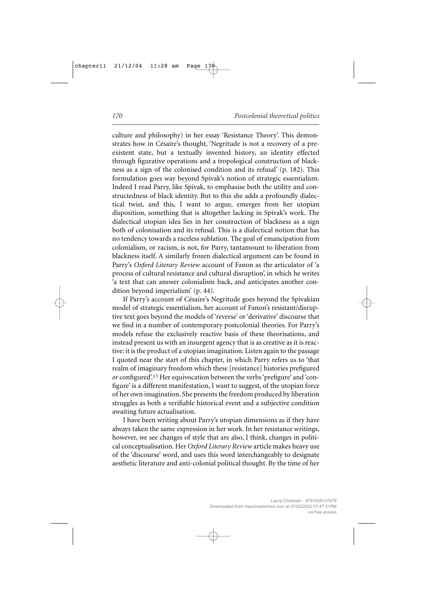culture and philosophy) in her essay 'Resistance Theory'. This demonstrates how in Césaire's thought, 'Negritude is not a recovery of a preexistent state, but a textually invented history, an identity effected through figurative operations and a tropological construction of blackness as a sign of the colonised condition and its refusal' (p. 182). This formulation goes way beyond Spivak's notion of strategic essentialism. Indeed I read Parry, like Spivak, to emphasise both the utility and constructedness of black identity. But to this she adds a profoundly dialectical twist, and this, I want to argue, emerges from her utopian disposition, something that is altogether lacking in Spivak's work. The dialectical utopian idea lies in her construction of blackness as a sign both of colonisation and its refusal. This is a dialectical notion that has no tendency towards a raceless sublation. The goal of emancipation from colonialism, or racism, is not, for Parry, tantamount to liberation from blackness itself. A similarly frozen dialectical argument can be found in Parry's *Oxford Literary Review* account of Fanon as the articulator of 'a process of cultural resistance and cultural disruption', in which he writes 'a text that can answer colonialism back, and anticipates another condition beyond imperialism' (p. 44).

If Parry's account of Césaire's Negritude goes beyond the Spivakian model of strategic essentialism, her account of Fanon's resistant/disruptive text goes beyond the models of 'reverse' or 'derivative' discourse that we find in a number of contemporary postcolonial theories. For Parry's models refuse the exclusively reactive basis of these theorisations, and instead present us with an insurgent agency that is as creative as it is reactive: it is the product of a utopian imagination. Listen again to the passage I quoted near the start of this chapter, in which Parry refers us to 'that realm of imaginary freedom which these [resistance] histories prefigured *or* configured'.13 Her equivocation between the verbs 'prefigure' and 'configure' is a different manifestation, I want to suggest, of the utopian force of her own imagination. She presents the freedom produced by liberation struggles as both a verifiable historical event and a subjective condition awaiting future actualisation.

I have been writing about Parry's utopian dimensions as if they have always taken the same expression in her work. In her resistance writings, however, we see changes of style that are also, I think, changes in political conceptualisation. Her *Oxford Literary Review* article makes heavy use of the 'discourse' word, and uses this word interchangeably to designate aesthetic literature and anti-colonial political thought. By the time of her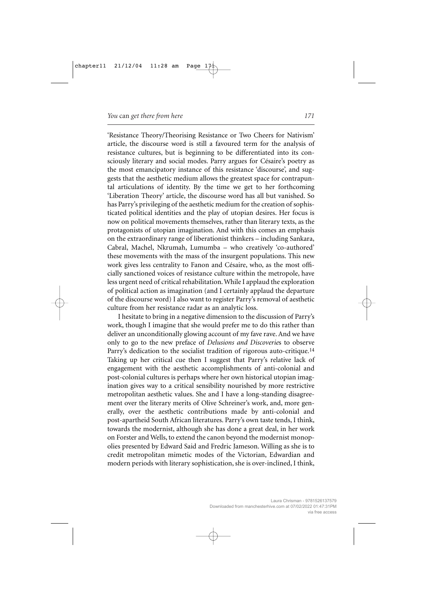'Resistance Theory/Theorising Resistance or Two Cheers for Nativism' article, the discourse word is still a favoured term for the analysis of resistance cultures, but is beginning to be differentiated into its consciously literary and social modes. Parry argues for Césaire's poetry as the most emancipatory instance of this resistance 'discourse', and suggests that the aesthetic medium allows the greatest space for contrapuntal articulations of identity. By the time we get to her forthcoming 'Liberation Theory' article, the discourse word has all but vanished. So has Parry's privileging of the aesthetic medium for the creation of sophisticated political identities and the play of utopian desires. Her focus is now on political movements themselves, rather than literary texts, as the protagonists of utopian imagination. And with this comes an emphasis on the extraordinary range of liberationist thinkers – including Sankara, Cabral, Machel, Nkrumah, Lumumba – who creatively 'co-authored' these movements with the mass of the insurgent populations. This new work gives less centrality to Fanon and Césaire, who, as the most officially sanctioned voices of resistance culture within the metropole, have less urgent need of critical rehabilitation. While I applaud the exploration of political action as imagination (and I certainly applaud the departure of the discourse word) I also want to register Parry's removal of aesthetic culture from her resistance radar as an analytic loss.

I hesitate to bring in a negative dimension to the discussion of Parry's work, though I imagine that she would prefer me to do this rather than deliver an unconditionally glowing account of my fave rave. And we have only to go to the new preface of *Delusions and Discoverie*s to observe Parry's dedication to the socialist tradition of rigorous auto-critique.14 Taking up her critical cue then I suggest that Parry's relative lack of engagement with the aesthetic accomplishments of anti-colonial and post-colonial cultures is perhaps where her own historical utopian imagination gives way to a critical sensibility nourished by more restrictive metropolitan aesthetic values. She and I have a long-standing disagreement over the literary merits of Olive Schreiner's work, and, more generally, over the aesthetic contributions made by anti-colonial and post-apartheid South African literatures. Parry's own taste tends, I think, towards the modernist, although she has done a great deal, in her work on Forster and Wells, to extend the canon beyond the modernist monopolies presented by Edward Said and Fredric Jameson. Willing as she is to credit metropolitan mimetic modes of the Victorian, Edwardian and modern periods with literary sophistication, she is over-inclined, I think,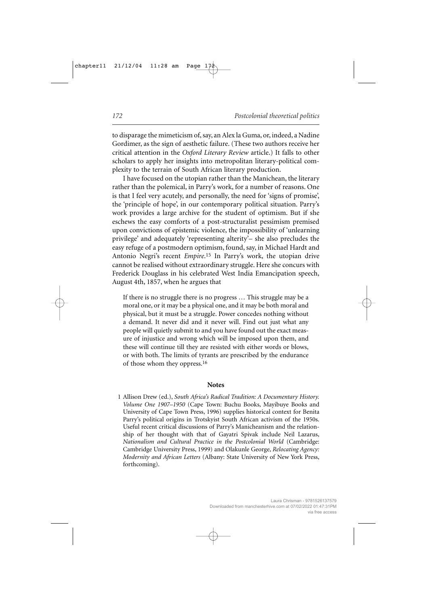to disparage the mimeticism of, say, an Alex la Guma, or, indeed, a Nadine Gordimer, as the sign of aesthetic failure. (These two authors receive her critical attention in the *Oxford Literary Review* article.) It falls to other scholars to apply her insights into metropolitan literary-political complexity to the terrain of South African literary production.

I have focused on the utopian rather than the Manichean, the literary rather than the polemical, in Parry's work, for a number of reasons. One is that I feel very acutely, and personally, the need for 'signs of promise', the 'principle of hope', in our contemporary political situation. Parry's work provides a large archive for the student of optimism. But if she eschews the easy comforts of a post-structuralist pessimism premised upon convictions of epistemic violence, the impossibility of 'unlearning privilege' and adequately 'representing alterity'– she also precludes the easy refuge of a postmodern optimism, found, say, in Michael Hardt and Antonio Negri's recent *Empire*.15 In Parry's work, the utopian drive cannot be realised without extraordinary struggle. Here she concurs with Frederick Douglass in his celebrated West India Emancipation speech, August 4th, 1857, when he argues that

If there is no struggle there is no progress … This struggle may be a moral one, or it may be a physical one, and it may be both moral and physical, but it must be a struggle. Power concedes nothing without a demand. It never did and it never will. Find out just what any people will quietly submit to and you have found out the exact measure of injustice and wrong which will be imposed upon them, and these will continue till they are resisted with either words or blows, or with both. The limits of tyrants are prescribed by the endurance of those whom they oppress.16

## **Notes**

1 Allison Drew (ed.), *South Africa's Radical Tradition: A Documentary History. Volume One 1907–1950* (Cape Town: Buchu Books, Mayibuye Books and University of Cape Town Press, 1996) supplies historical context for Benita Parry's political origins in Trotskyist South African activism of the 1950s. Useful recent critical discussions of Parry's Manicheanism and the relationship of her thought with that of Gayatri Spivak include Neil Lazarus, *Nationalism and Cultural Practice in the Postcolonial World* (Cambridge: Cambridge University Press, 1999) and Olakunle George, *Relocating Agency: Modernity and African Letters* (Albany: State University of New York Press, forthcoming).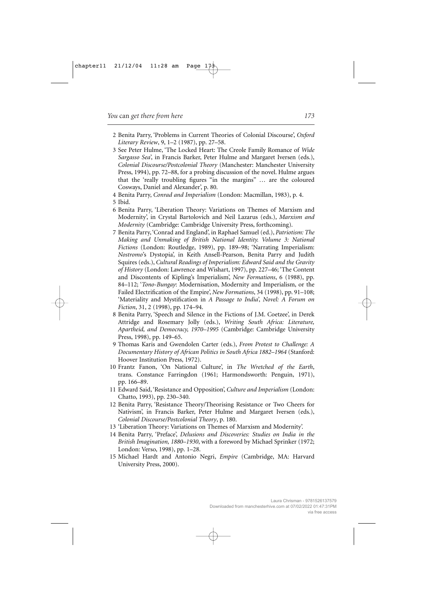- 2 Benita Parry, 'Problems in Current Theories of Colonial Discourse', *Oxford Literary Review*, 9, 1–2 (1987), pp. 27–58.
- 3 See Peter Hulme, 'The Locked Heart: The Creole Family Romance of *Wide Sargasso Sea*', in Francis Barker, Peter Hulme and Margaret Iversen (eds.), *Colonial Discourse/Postcolonial Theory* (Manchester: Manchester University Press, 1994), pp. 72–88, for a probing discussion of the novel. Hulme argues that the 'really troubling figures "in the margins" … are the coloured Cosways, Daniel and Alexander', p. 80.
- 4 Benita Parry, *Conrad and Imperialism* (London: Macmillan, 1983), p. 4.
- 5 Ibid.
- 6 Benita Parry, 'Liberation Theory: Variations on Themes of Marxism and Modernity', in Crystal Bartolovich and Neil Lazarus (eds.), *Marxism and Modernity* (Cambridge: Cambridge University Press, forthcoming).
- 7 Benita Parry, 'Conrad and England', in Raphael Samuel (ed.), *Patriotism: The Making and Unmaking of British National Identity. Volume 3: National Fictions* (London: Routledge, 1989), pp. 189–98; 'Narrating Imperialism: *Nostromo*'s Dystopia', in Keith Ansell-Pearson, Benita Parry and Judith Squires (eds.), *Cultural Readings of Imperialism: Edward Said and the Gravity of History* (London: Lawrence and Wishart, 1997), pp. 227–46; 'The Content and Discontents of Kipling's Imperialism', *New Formations*, 6 (1988), pp. 84–112; '*Tono-Bungay*: Modernisation, Modernity and Imperialism, or the Failed Electrification of the Empire', *New Formations*, 34 (1998), pp. 91–108; 'Materiality and Mystification in *A Passage to India*', *Novel: A Forum on Fiction*, 31, 2 (1998), pp. 174–94.
- 8 Benita Parry, 'Speech and Silence in the Fictions of J.M. Coetzee', in Derek Attridge and Rosemary Jolly (eds.), *Writing South Africa: Literature, Apartheid, and Democracy, 1970–1995* (Cambridge: Cambridge University Press, 1998), pp. 149–65.
- 9 Thomas Karis and Gwendolen Carter (eds.), *From Protest to Challenge: A Documentary History of African Politics in South Africa 1882–1964* (Stanford: Hoover Institution Press, 1972).
- 10 Frantz Fanon, 'On National Culture', in *The Wretched of the Earth*, trans. Constance Farringdon (1961; Harmondsworth: Penguin, 1971), pp. 166–89.
- 11 Edward Said, 'Resistance and Opposition', *Culture and Imperialism* (London: Chatto, 1993), pp. 230–340.
- 12 Benita Parry, 'Resistance Theory/Theorising Resistance or Two Cheers for Nativism', in Francis Barker, Peter Hulme and Margaret Iversen (eds.), *Colonial Discourse/Postcolonial Theory*, p. 180.
- 13 'Liberation Theory: Variations on Themes of Marxism and Modernity'.
- 14 Benita Parry, 'Preface', *Delusions and Discoveries: Studies on India in the British Imagination, 1880–1930*, with a foreword by Michael Sprinker (1972; London: Verso, 1998), pp. 1–28.
- 15 Michael Hardt and Antonio Negri, *Empire* (Cambridge, MA: Harvard University Press, 2000).